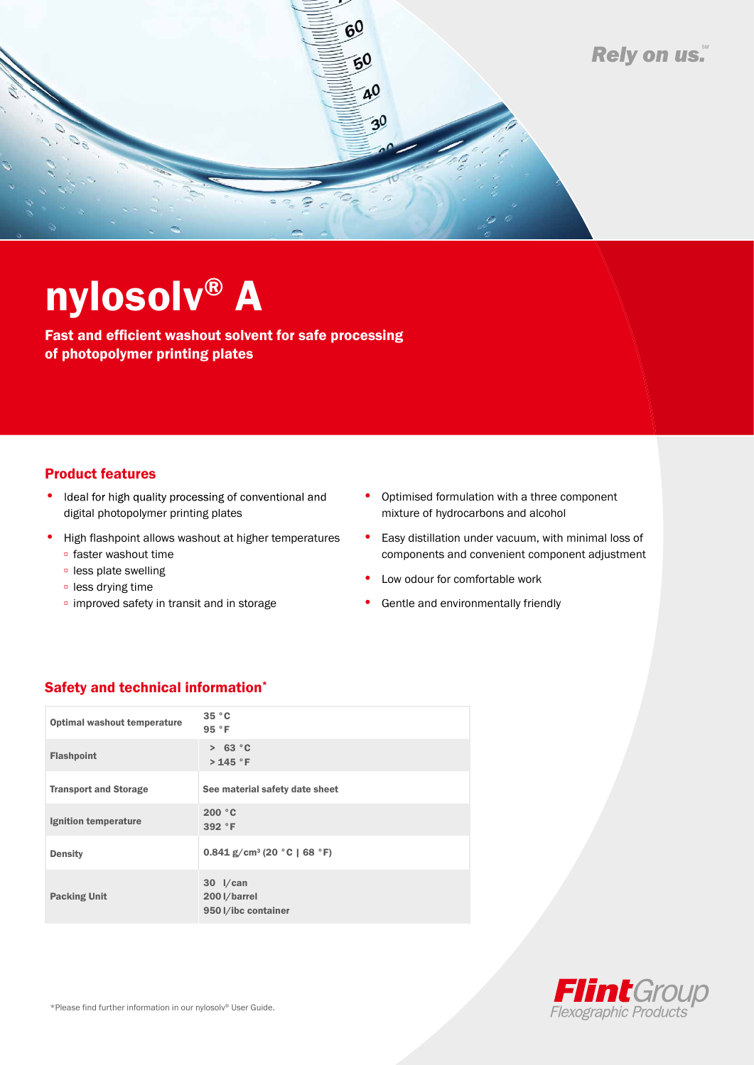

## nylosolv® A

Fast and efficient washout solvent for safe processing of photopolymer printing plates

## Product features

- Ideal for high quality processing of conventional and digital photopolymer printing plates
- High flashpoint allows washout at higher temperatures
	- faster washout time
	- less plate swelling
	- less drying time
	- improved safety in transit and in storage
- Optimised formulation with a three component mixture of hydrocarbons and alcohol
- Easy distillation under vacuum, with minimal loss of components and convenient component adjustment
- Low odour for comfortable work
- Gentle and environmentally friendly

## Safety and technical information\*

| <b>Optimal washout temperature</b> | 35 °C<br>95 °F                                    |
|------------------------------------|---------------------------------------------------|
| <b>Flashpoint</b>                  | > 63 °C<br>> 145 °F                               |
| <b>Transport and Storage</b>       | See material safety date sheet                    |
| Ignition temperature               | 200 °C<br>392 °F                                  |
| <b>Density</b>                     | $0.841$ g/cm <sup>3</sup> (20 °C   68 °F)         |
| <b>Packing Unit</b>                | $30$ I/can<br>200 l/barrel<br>950 l/ibc container |